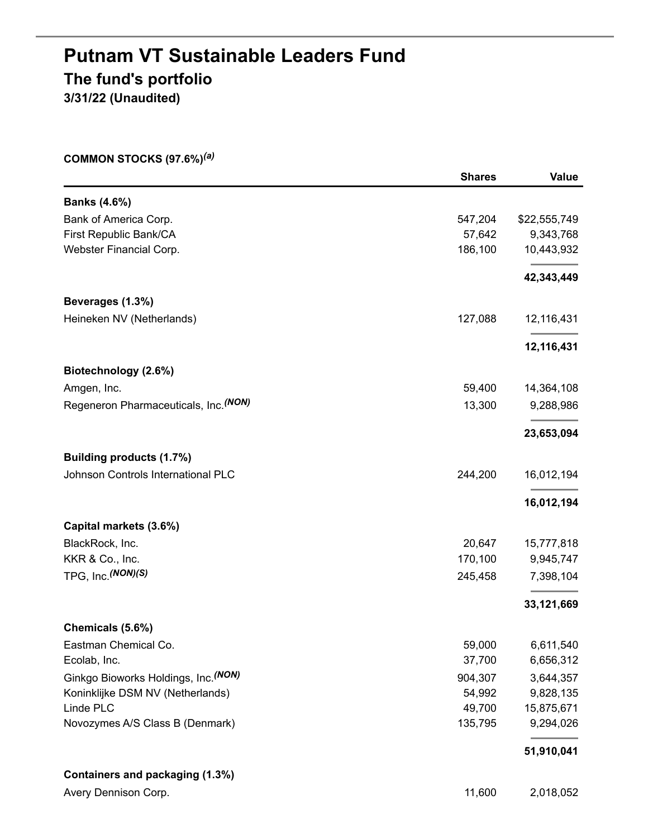## **Putnam VT Sustainable Leaders Fund The fund's portfolio 3/31/22 (Unaudited)**

**COMMON STOCKS (97.6%)** *(a)*

|                                        | <b>Shares</b> | <b>Value</b> |
|----------------------------------------|---------------|--------------|
| <b>Banks (4.6%)</b>                    |               |              |
| Bank of America Corp.                  | 547,204       | \$22,555,749 |
| First Republic Bank/CA                 | 57,642        | 9,343,768    |
| Webster Financial Corp.                | 186,100       | 10,443,932   |
|                                        |               | 42,343,449   |
| Beverages (1.3%)                       |               |              |
| Heineken NV (Netherlands)              | 127,088       | 12,116,431   |
|                                        |               | 12,116,431   |
| Biotechnology (2.6%)                   |               |              |
| Amgen, Inc.                            | 59,400        | 14,364,108   |
| Regeneron Pharmaceuticals, Inc. (NON)  | 13,300        | 9,288,986    |
|                                        |               | 23,653,094   |
| Building products (1.7%)               |               |              |
| Johnson Controls International PLC     | 244,200       | 16,012,194   |
|                                        |               | 16,012,194   |
| Capital markets (3.6%)                 |               |              |
| BlackRock, Inc.                        | 20,647        | 15,777,818   |
| KKR & Co., Inc.                        | 170,100       | 9,945,747    |
| TPG, Inc. <sup>(NON)(S)</sup>          | 245,458       | 7,398,104    |
|                                        |               | 33,121,669   |
| Chemicals (5.6%)                       |               |              |
| Eastman Chemical Co.                   | 59,000        | 6,611,540    |
| Ecolab, Inc.                           | 37,700        | 6,656,312    |
| Ginkgo Bioworks Holdings, Inc. (NON)   | 904,307       | 3,644,357    |
| Koninklijke DSM NV (Netherlands)       | 54,992        | 9,828,135    |
| Linde PLC                              | 49,700        | 15,875,671   |
| Novozymes A/S Class B (Denmark)        | 135,795       | 9,294,026    |
|                                        |               | 51,910,041   |
| <b>Containers and packaging (1.3%)</b> |               |              |
| Avery Dennison Corp.                   | 11,600        | 2,018,052    |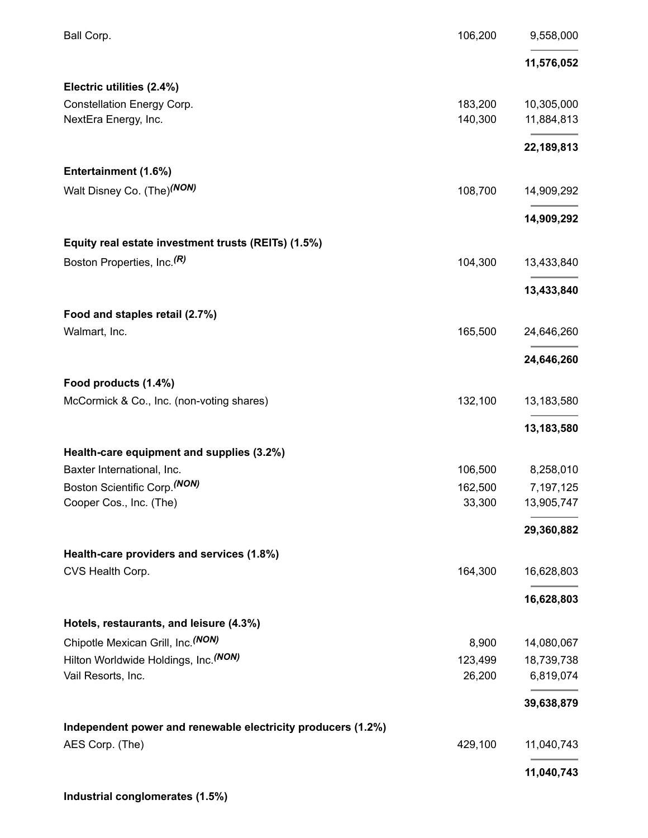| Ball Corp.                                                   | 106,200 | 9,558,000  |
|--------------------------------------------------------------|---------|------------|
|                                                              |         | 11,576,052 |
| Electric utilities (2.4%)                                    |         |            |
| Constellation Energy Corp.                                   | 183,200 | 10,305,000 |
| NextEra Energy, Inc.                                         | 140,300 | 11,884,813 |
|                                                              |         | 22,189,813 |
| Entertainment (1.6%)                                         |         |            |
| Walt Disney Co. (The) <sup>(NON)</sup>                       | 108,700 | 14,909,292 |
|                                                              |         | 14,909,292 |
| Equity real estate investment trusts (REITs) (1.5%)          |         |            |
| Boston Properties, Inc. <sup>(R)</sup>                       | 104,300 | 13,433,840 |
|                                                              |         | 13,433,840 |
| Food and staples retail (2.7%)                               |         |            |
| Walmart, Inc.                                                | 165,500 | 24,646,260 |
|                                                              |         | 24,646,260 |
| Food products (1.4%)                                         |         |            |
| McCormick & Co., Inc. (non-voting shares)                    | 132,100 | 13,183,580 |
|                                                              |         | 13,183,580 |
| Health-care equipment and supplies (3.2%)                    |         |            |
| Baxter International, Inc.                                   | 106,500 | 8,258,010  |
| Boston Scientific Corp. <sup>(NON)</sup>                     | 162,500 | 7,197,125  |
| Cooper Cos., Inc. (The)                                      | 33,300  | 13,905,747 |
|                                                              |         | 29,360,882 |
| Health-care providers and services (1.8%)                    |         |            |
| CVS Health Corp.                                             | 164,300 | 16,628,803 |
|                                                              |         | 16,628,803 |
| Hotels, restaurants, and leisure (4.3%)                      |         |            |
| Chipotle Mexican Grill, Inc. (NON)                           | 8,900   | 14,080,067 |
| Hilton Worldwide Holdings, Inc. (NON)                        | 123,499 | 18,739,738 |
| Vail Resorts, Inc.                                           | 26,200  | 6,819,074  |
|                                                              |         | 39,638,879 |
| Independent power and renewable electricity producers (1.2%) |         |            |
| AES Corp. (The)                                              | 429,100 | 11,040,743 |
|                                                              |         | 11,040,743 |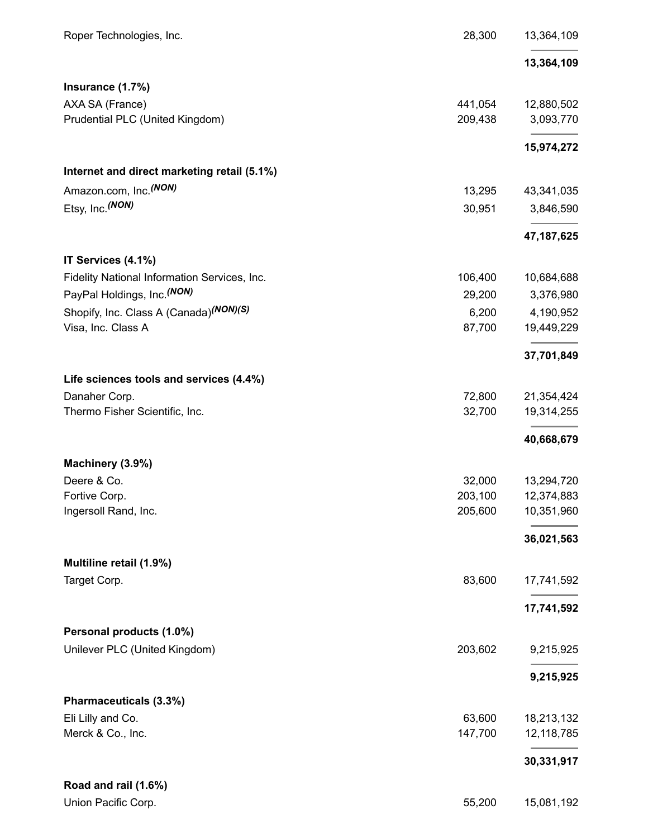| Roper Technologies, Inc.                     | 28,300  | 13,364,109   |
|----------------------------------------------|---------|--------------|
|                                              |         | 13,364,109   |
| Insurance (1.7%)                             |         |              |
| AXA SA (France)                              | 441,054 | 12,880,502   |
| Prudential PLC (United Kingdom)              | 209,438 | 3,093,770    |
|                                              |         | 15,974,272   |
| Internet and direct marketing retail (5.1%)  |         |              |
| Amazon.com, Inc. <sup>(NON)</sup>            | 13,295  | 43,341,035   |
| Etsy, Inc. (NON)                             | 30,951  | 3,846,590    |
|                                              |         | 47, 187, 625 |
| IT Services (4.1%)                           |         |              |
| Fidelity National Information Services, Inc. | 106,400 | 10,684,688   |
| PayPal Holdings, Inc. (NON)                  | 29,200  | 3,376,980    |
| Shopify, Inc. Class A (Canada)(NON)(S)       | 6,200   | 4,190,952    |
| Visa, Inc. Class A                           | 87,700  | 19,449,229   |
|                                              |         | 37,701,849   |
| Life sciences tools and services (4.4%)      |         |              |
| Danaher Corp.                                | 72,800  | 21,354,424   |
| Thermo Fisher Scientific, Inc.               | 32,700  | 19,314,255   |
|                                              |         | 40,668,679   |
| Machinery (3.9%)                             |         |              |
| Deere & Co.                                  | 32,000  | 13,294,720   |
| Fortive Corp.                                | 203.100 | 12,374,883   |
| Ingersoll Rand, Inc.                         | 205,600 | 10,351,960   |
|                                              |         | 36,021,563   |
| Multiline retail (1.9%)                      |         |              |
| Target Corp.                                 | 83,600  | 17,741,592   |
|                                              |         | 17,741,592   |
| Personal products (1.0%)                     |         |              |
| Unilever PLC (United Kingdom)                | 203,602 | 9,215,925    |
|                                              |         | 9,215,925    |
| Pharmaceuticals (3.3%)                       |         |              |
| Eli Lilly and Co.                            | 63,600  | 18,213,132   |
| Merck & Co., Inc.                            | 147,700 | 12,118,785   |
|                                              |         | 30,331,917   |
| Road and rail (1.6%)                         |         |              |
| Union Pacific Corp.                          | 55,200  | 15,081,192   |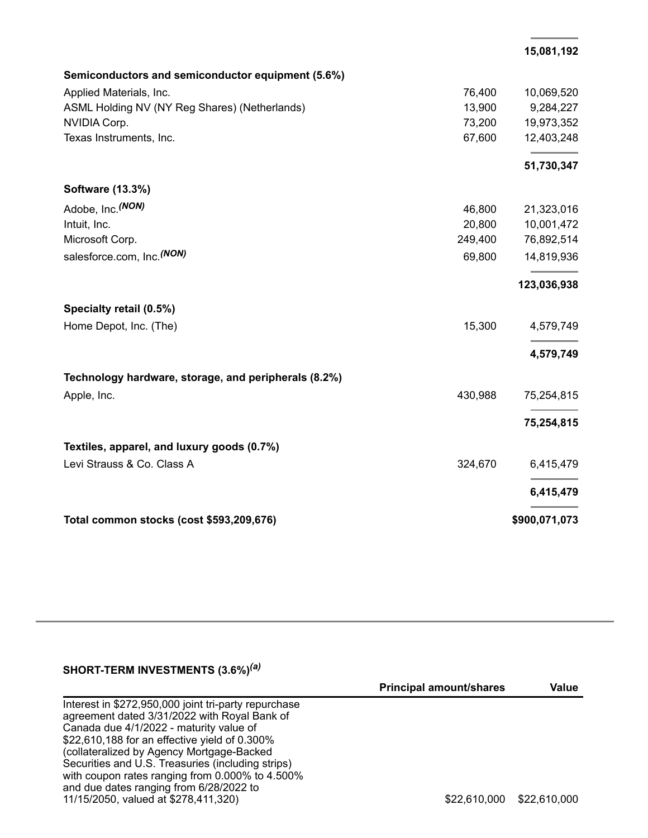|  |  | 15,081,192 |
|--|--|------------|
|  |  |            |

| Semiconductors and semiconductor equipment (5.6%)    |         |               |
|------------------------------------------------------|---------|---------------|
| Applied Materials, Inc.                              | 76,400  | 10,069,520    |
| ASML Holding NV (NY Reg Shares) (Netherlands)        | 13,900  | 9,284,227     |
| NVIDIA Corp.                                         | 73,200  | 19,973,352    |
| Texas Instruments, Inc.                              | 67,600  | 12,403,248    |
|                                                      |         | 51,730,347    |
| Software (13.3%)                                     |         |               |
| Adobe, Inc. (NON)                                    | 46,800  | 21,323,016    |
| Intuit, Inc.                                         | 20,800  | 10,001,472    |
| Microsoft Corp.                                      | 249,400 | 76,892,514    |
| salesforce.com, Inc. (NON)                           | 69,800  | 14,819,936    |
|                                                      |         | 123,036,938   |
| Specialty retail (0.5%)                              |         |               |
| Home Depot, Inc. (The)                               | 15,300  | 4,579,749     |
|                                                      |         | 4,579,749     |
| Technology hardware, storage, and peripherals (8.2%) |         |               |
| Apple, Inc.                                          | 430,988 | 75,254,815    |
|                                                      |         | 75,254,815    |
| Textiles, apparel, and luxury goods (0.7%)           |         |               |
| Levi Strauss & Co. Class A                           | 324,670 | 6,415,479     |
|                                                      |         | 6,415,479     |
| Total common stocks (cost \$593,209,676)             |         | \$900,071,073 |

#### **SHORT-TERM INVESTMENTS (3.6%)** *(a)*

|                                                      | <b>Principal amount/shares</b> | Value        |
|------------------------------------------------------|--------------------------------|--------------|
| Interest in \$272,950,000 joint tri-party repurchase |                                |              |
| agreement dated 3/31/2022 with Royal Bank of         |                                |              |
| Canada due 4/1/2022 - maturity value of              |                                |              |
| \$22,610,188 for an effective yield of 0.300%        |                                |              |
| (collateralized by Agency Mortgage-Backed            |                                |              |
| Securities and U.S. Treasuries (including strips)    |                                |              |
| with coupon rates ranging from 0.000% to 4.500%      |                                |              |
| and due dates ranging from 6/28/2022 to              |                                |              |
| 11/15/2050, valued at \$278,411,320)                 | \$22,610,000                   | \$22,610,000 |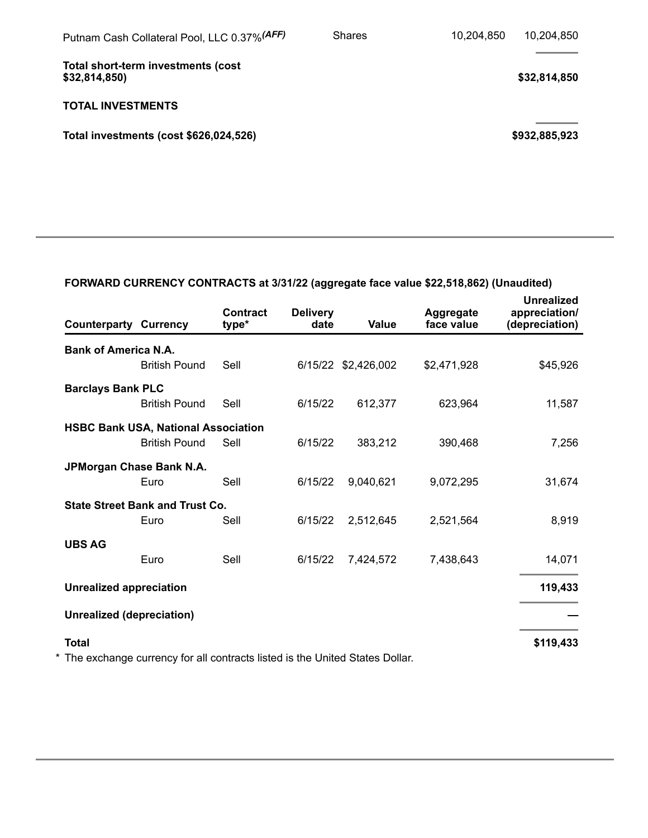| Putnam Cash Collateral Pool, LLC 0.37% (AFF)        | <b>Shares</b> | 10,204,850 | 10,204,850    |
|-----------------------------------------------------|---------------|------------|---------------|
| Total short-term investments (cost<br>\$32,814,850) |               |            | \$32,814,850  |
| <b>TOTAL INVESTMENTS</b>                            |               |            |               |
| Total investments (cost \$626,024,526)              |               |            | \$932,885,923 |
|                                                     |               |            |               |

### **FORWARD CURRENCY CONTRACTS at 3/31/22 (aggregate face value \$22,518,862) (Unaudited)**

| <b>Counterparty Currency</b>     |                                                                               | <b>Contract</b><br>type* | <b>Delivery</b><br>date | Value               | Aggregate<br>face value | <b>Unrealized</b><br>appreciation/<br>(depreciation) |
|----------------------------------|-------------------------------------------------------------------------------|--------------------------|-------------------------|---------------------|-------------------------|------------------------------------------------------|
| <b>Bank of America N.A.</b>      | <b>British Pound</b>                                                          | Sell                     |                         | 6/15/22 \$2,426,002 | \$2,471,928             | \$45,926                                             |
| <b>Barclays Bank PLC</b>         |                                                                               |                          |                         |                     |                         |                                                      |
|                                  | <b>British Pound</b>                                                          | Sell                     | 6/15/22                 | 612,377             | 623,964                 | 11,587                                               |
|                                  | <b>HSBC Bank USA, National Association</b><br><b>British Pound</b>            | Sell                     | 6/15/22                 | 383,212             | 390,468                 | 7,256                                                |
|                                  | JPMorgan Chase Bank N.A.<br>Euro                                              | Sell                     | 6/15/22                 | 9,040,621           | 9,072,295               | 31,674                                               |
|                                  | <b>State Street Bank and Trust Co.</b><br>Euro                                | Sell                     | 6/15/22                 | 2,512,645           | 2,521,564               | 8,919                                                |
| <b>UBS AG</b>                    | Euro                                                                          | Sell                     | 6/15/22                 | 7,424,572           | 7,438,643               | 14,071                                               |
| <b>Unrealized appreciation</b>   |                                                                               |                          |                         |                     |                         | 119,433                                              |
| <b>Unrealized (depreciation)</b> |                                                                               |                          |                         |                     |                         |                                                      |
| <b>Total</b>                     |                                                                               |                          |                         |                     |                         | \$119,433                                            |
|                                  | * The exchange currency for all contracts listed is the United States Dollar. |                          |                         |                     |                         |                                                      |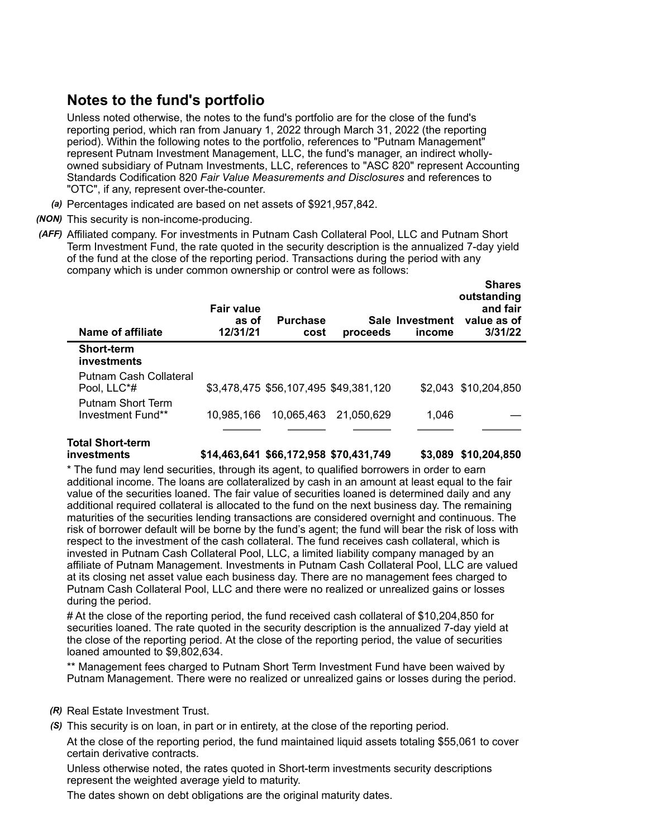#### **Notes to the fund's portfolio**

Unless noted otherwise, the notes to the fund's portfolio are for the close of the fund's reporting period, which ran from January 1, 2022 through March 31, 2022 (the reporting period). Within the following notes to the portfolio, references to "Putnam Management" represent Putnam Investment Management, LLC, the fund's manager, an indirect whollyowned subsidiary of Putnam Investments, LLC, references to "ASC 820" represent Accounting Standards Codification 820 *Fair Value Measurements and Disclosures* and references to "OTC", if any, represent over-the-counter.

- *(a)* Percentages indicated are based on net assets of \$921,957,842.
- *(NON)* This security is non-income-producing.
- *(AFF)* Affiliated company. For investments in Putnam Cash Collateral Pool, LLC and Putnam Short Term Investment Fund, the rate quoted in the security description is the annualized 7-day yield of the fund at the close of the reporting period. Transactions during the period with any company which is under common ownership or control were as follows:

| Name of affiliate                      | <b>Fair value</b><br>as of<br>12/31/21 | <b>Purchase</b><br>cost               | proceeds   | Sale Investment<br>income | 311 CS<br>outstanding<br>and fair<br>value as of<br>3/31/22 |
|----------------------------------------|----------------------------------------|---------------------------------------|------------|---------------------------|-------------------------------------------------------------|
| <b>Short-term</b><br>investments       |                                        |                                       |            |                           |                                                             |
| Putnam Cash Collateral<br>Pool, LLC*#  |                                        | \$3,478,475 \$56,107,495 \$49,381,120 |            |                           | \$2,043 \$10,204,850                                        |
| Putnam Short Term<br>Investment Fund** | 10.985.166                             | 10,065,463                            | 21.050.629 | 1,046                     |                                                             |
|                                        |                                        |                                       |            |                           |                                                             |

# **Total Short-term**

**investments \$14,463,641 \$66,172,958 \$70,431,749 \$3,089 \$10,204,850**

**Shares**

\* The fund may lend securities, through its agent, to qualified borrowers in order to earn additional income. The loans are collateralized by cash in an amount at least equal to the fair value of the securities loaned. The fair value of securities loaned is determined daily and any additional required collateral is allocated to the fund on the next business day. The remaining maturities of the securities lending transactions are considered overnight and continuous. The risk of borrower default will be borne by the fund's agent; the fund will bear the risk of loss with respect to the investment of the cash collateral. The fund receives cash collateral, which is invested in Putnam Cash Collateral Pool, LLC, a limited liability company managed by an affiliate of Putnam Management. Investments in Putnam Cash Collateral Pool, LLC are valued at its closing net asset value each business day. There are no management fees charged to Putnam Cash Collateral Pool, LLC and there were no realized or unrealized gains or losses during the period.

# At the close of the reporting period, the fund received cash collateral of \$10,204,850 for securities loaned. The rate quoted in the security description is the annualized 7-day yield at the close of the reporting period. At the close of the reporting period, the value of securities loaned amounted to \$9,802,634.

\*\* Management fees charged to Putnam Short Term Investment Fund have been waived by Putnam Management. There were no realized or unrealized gains or losses during the period.

- *(R)* Real Estate Investment Trust.
- *(S)* This security is on loan, in part or in entirety, at the close of the reporting period.

At the close of the reporting period, the fund maintained liquid assets totaling \$55,061 to cover certain derivative contracts.

Unless otherwise noted, the rates quoted in Short-term investments security descriptions represent the weighted average yield to maturity.

The dates shown on debt obligations are the original maturity dates.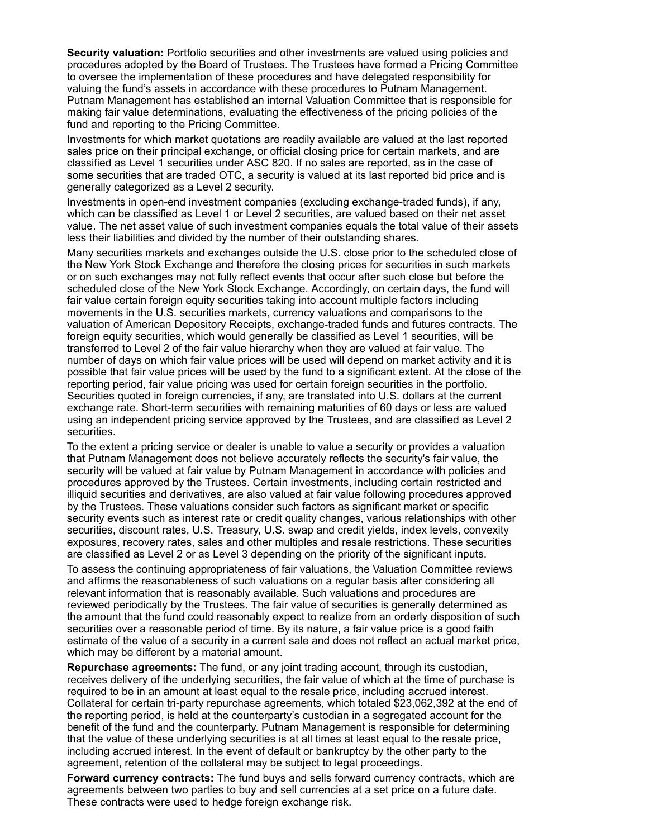**Security valuation:** Portfolio securities and other investments are valued using policies and procedures adopted by the Board of Trustees. The Trustees have formed a Pricing Committee to oversee the implementation of these procedures and have delegated responsibility for valuing the fund's assets in accordance with these procedures to Putnam Management. Putnam Management has established an internal Valuation Committee that is responsible for making fair value determinations, evaluating the effectiveness of the pricing policies of the fund and reporting to the Pricing Committee.

Investments for which market quotations are readily available are valued at the last reported sales price on their principal exchange, or official closing price for certain markets, and are classified as Level 1 securities under ASC 820. If no sales are reported, as in the case of some securities that are traded OTC, a security is valued at its last reported bid price and is generally categorized as a Level 2 security.

Investments in open-end investment companies (excluding exchange-traded funds), if any, which can be classified as Level 1 or Level 2 securities, are valued based on their net asset value. The net asset value of such investment companies equals the total value of their assets less their liabilities and divided by the number of their outstanding shares.

Many securities markets and exchanges outside the U.S. close prior to the scheduled close of the New York Stock Exchange and therefore the closing prices for securities in such markets or on such exchanges may not fully reflect events that occur after such close but before the scheduled close of the New York Stock Exchange. Accordingly, on certain days, the fund will fair value certain foreign equity securities taking into account multiple factors including movements in the U.S. securities markets, currency valuations and comparisons to the valuation of American Depository Receipts, exchange-traded funds and futures contracts. The foreign equity securities, which would generally be classified as Level 1 securities, will be transferred to Level 2 of the fair value hierarchy when they are valued at fair value. The number of days on which fair value prices will be used will depend on market activity and it is possible that fair value prices will be used by the fund to a significant extent. At the close of the reporting period, fair value pricing was used for certain foreign securities in the portfolio. Securities quoted in foreign currencies, if any, are translated into U.S. dollars at the current exchange rate. Short-term securities with remaining maturities of 60 days or less are valued using an independent pricing service approved by the Trustees, and are classified as Level 2 securities.

To the extent a pricing service or dealer is unable to value a security or provides a valuation that Putnam Management does not believe accurately reflects the security's fair value, the security will be valued at fair value by Putnam Management in accordance with policies and procedures approved by the Trustees. Certain investments, including certain restricted and illiquid securities and derivatives, are also valued at fair value following procedures approved by the Trustees. These valuations consider such factors as significant market or specific security events such as interest rate or credit quality changes, various relationships with other securities, discount rates, U.S. Treasury, U.S. swap and credit yields, index levels, convexity exposures, recovery rates, sales and other multiples and resale restrictions. These securities are classified as Level 2 or as Level 3 depending on the priority of the significant inputs.

To assess the continuing appropriateness of fair valuations, the Valuation Committee reviews and affirms the reasonableness of such valuations on a regular basis after considering all relevant information that is reasonably available. Such valuations and procedures are reviewed periodically by the Trustees. The fair value of securities is generally determined as the amount that the fund could reasonably expect to realize from an orderly disposition of such securities over a reasonable period of time. By its nature, a fair value price is a good faith estimate of the value of a security in a current sale and does not reflect an actual market price, which may be different by a material amount.

**Repurchase agreements:** The fund, or any joint trading account, through its custodian, receives delivery of the underlying securities, the fair value of which at the time of purchase is required to be in an amount at least equal to the resale price, including accrued interest. Collateral for certain tri-party repurchase agreements, which totaled \$23,062,392 at the end of the reporting period, is held at the counterparty's custodian in a segregated account for the benefit of the fund and the counterparty. Putnam Management is responsible for determining that the value of these underlying securities is at all times at least equal to the resale price, including accrued interest. In the event of default or bankruptcy by the other party to the agreement, retention of the collateral may be subject to legal proceedings.

**Forward currency contracts:** The fund buys and sells forward currency contracts, which are agreements between two parties to buy and sell currencies at a set price on a future date. These contracts were used to hedge foreign exchange risk.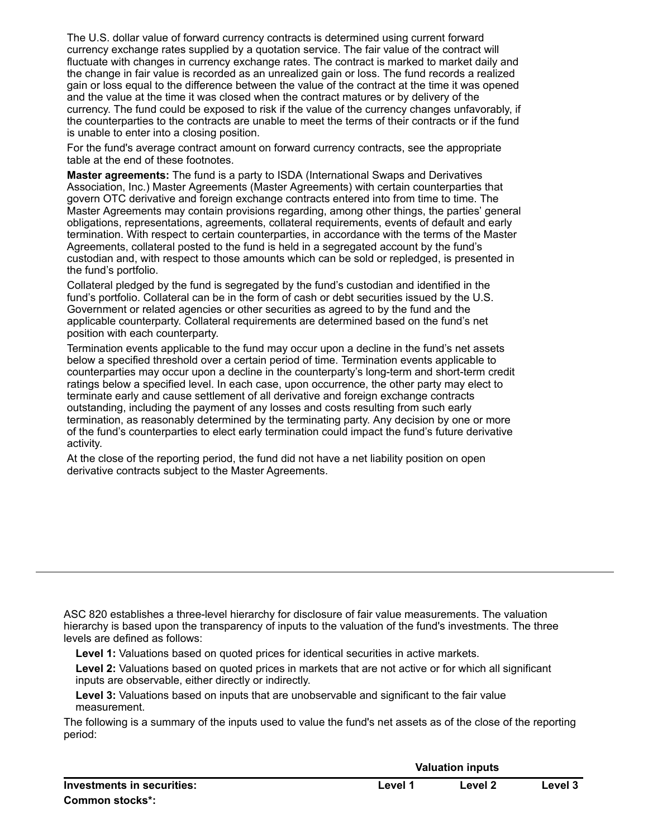The U.S. dollar value of forward currency contracts is determined using current forward currency exchange rates supplied by a quotation service. The fair value of the contract will fluctuate with changes in currency exchange rates. The contract is marked to market daily and the change in fair value is recorded as an unrealized gain or loss. The fund records a realized gain or loss equal to the difference between the value of the contract at the time it was opened and the value at the time it was closed when the contract matures or by delivery of the currency. The fund could be exposed to risk if the value of the currency changes unfavorably, if the counterparties to the contracts are unable to meet the terms of their contracts or if the fund is unable to enter into a closing position.

For the fund's average contract amount on forward currency contracts, see the appropriate table at the end of these footnotes.

**Master agreements:** The fund is a party to ISDA (International Swaps and Derivatives Association, Inc.) Master Agreements (Master Agreements) with certain counterparties that govern OTC derivative and foreign exchange contracts entered into from time to time. The Master Agreements may contain provisions regarding, among other things, the parties' general obligations, representations, agreements, collateral requirements, events of default and early termination. With respect to certain counterparties, in accordance with the terms of the Master Agreements, collateral posted to the fund is held in a segregated account by the fund's custodian and, with respect to those amounts which can be sold or repledged, is presented in the fund's portfolio.

Collateral pledged by the fund is segregated by the fund's custodian and identified in the fund's portfolio. Collateral can be in the form of cash or debt securities issued by the U.S. Government or related agencies or other securities as agreed to by the fund and the applicable counterparty. Collateral requirements are determined based on the fund's net position with each counterparty.

Termination events applicable to the fund may occur upon a decline in the fund's net assets below a specified threshold over a certain period of time. Termination events applicable to counterparties may occur upon a decline in the counterparty's long-term and short-term credit ratings below a specified level. In each case, upon occurrence, the other party may elect to terminate early and cause settlement of all derivative and foreign exchange contracts outstanding, including the payment of any losses and costs resulting from such early termination, as reasonably determined by the terminating party. Any decision by one or more of the fund's counterparties to elect early termination could impact the fund's future derivative activity.

At the close of the reporting period, the fund did not have a net liability position on open derivative contracts subject to the Master Agreements.

ASC 820 establishes a three-level hierarchy for disclosure of fair value measurements. The valuation hierarchy is based upon the transparency of inputs to the valuation of the fund's investments. The three levels are defined as follows:

**Level 1:** Valuations based on quoted prices for identical securities in active markets.

**Level 2:** Valuations based on quoted prices in markets that are not active or for which all significant inputs are observable, either directly or indirectly.

**Level 3:** Valuations based on inputs that are unobservable and significant to the fair value measurement.

The following is a summary of the inputs used to value the fund's net assets as of the close of the reporting period:

|                            |         | <b>Valuation inputs</b> |         |  |  |
|----------------------------|---------|-------------------------|---------|--|--|
| Investments in securities: | ∟evel ″ | Level 2                 | Level 3 |  |  |
| Common stocks*:            |         |                         |         |  |  |

**Valuation inputs**